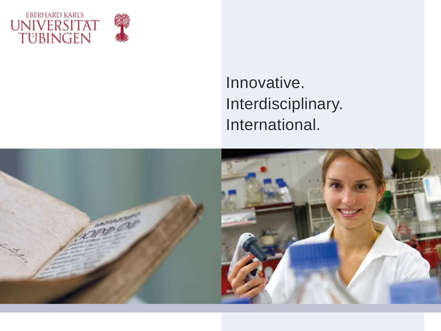



# Innovative. Interdisciplinary. International.

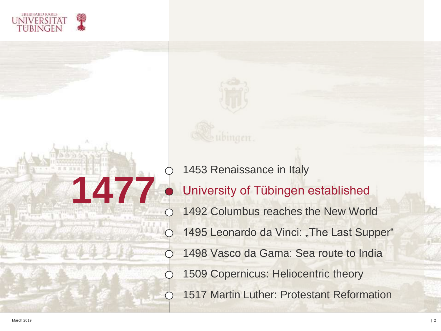



1453 Renaissance in Italy 1492 Columbus reaches the New World 1495 Leonardo da Vinci: "The Last Supper" 1498 Vasco da Gama: Sea route to India 1509 Copernicus: Heliocentric theory 1517 Martin Luther: Protestant Reformation University of Tübingen established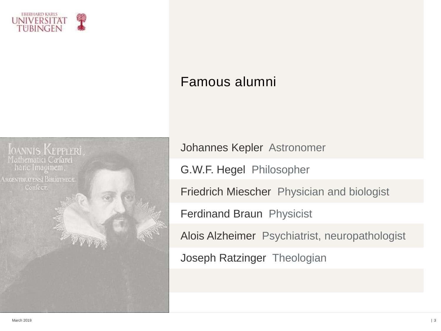

## Famous alumni



Johannes Kepler Astronomer

G.W.F. Hegel Philosopher

Friedrich Miescher Physician and biologist

Ferdinand Braun Physicist

Alois Alzheimer Psychiatrist, neuropathologist

Joseph Ratzinger Theologian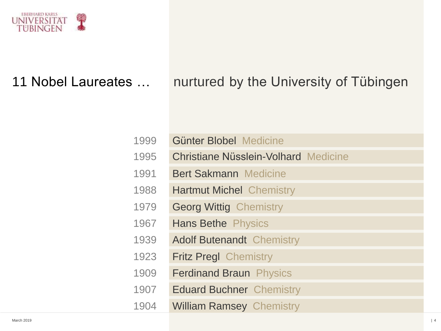

## 11 Nobel Laureates ... nurtured by the University of Tübingen

| 1999 | Günter Blobel Medicine                      |
|------|---------------------------------------------|
| 1995 | <b>Christiane Nüsslein-Volhard Medicine</b> |
| 1991 | <b>Bert Sakmann Medicine</b>                |
| 1988 | <b>Hartmut Michel Chemistry</b>             |
| 1979 | <b>Georg Wittig Chemistry</b>               |
| 1967 | <b>Hans Bethe Physics</b>                   |
| 1939 | <b>Adolf Butenandt Chemistry</b>            |
| 1923 | <b>Fritz Pregl Chemistry</b>                |
| 1909 | <b>Ferdinand Braun Physics</b>              |
| 1907 | <b>Eduard Buchner Chemistry</b>             |
| 1904 | <b>William Ramsey Chemistry</b>             |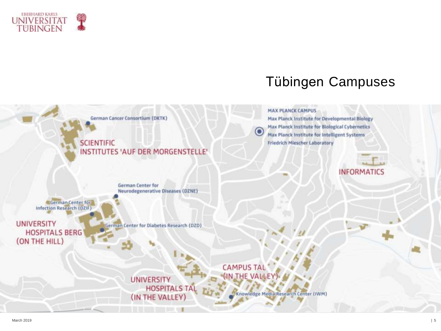

## Tübingen Campuses

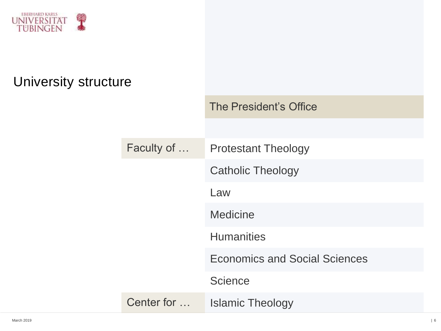

## University structure

|            | The President's Office               |
|------------|--------------------------------------|
|            |                                      |
| Faculty of | <b>Protestant Theology</b>           |
|            | <b>Catholic Theology</b>             |
|            | Law                                  |
|            | <b>Medicine</b>                      |
|            | <b>Humanities</b>                    |
|            | <b>Economics and Social Sciences</b> |
|            | <b>Science</b>                       |
| Center for | <b>Islamic Theology</b>              |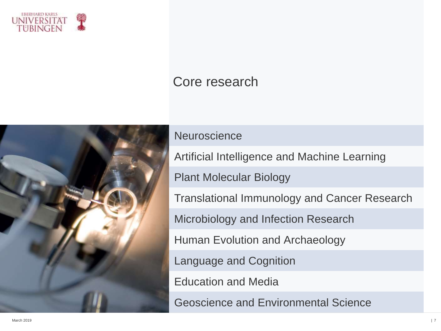

### Core research



#### **Neuroscience**

Artificial Intelligence and Machine Learning

Plant Molecular Biology

Translational Immunology and Cancer Research

Microbiology and Infection Research

Human Evolution and Archaeology

Language and Cognition

Education and Media

Geoscience and Environmental Science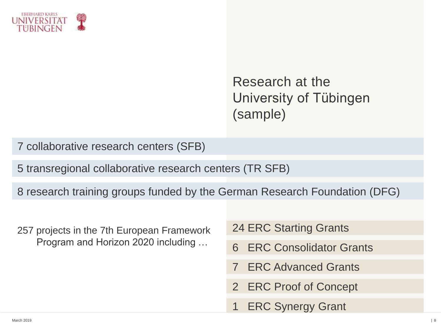

Research at the University of Tübingen (sample)

7 collaborative research centers (SFB)

5 transregional collaborative research centers (TR SFB)

8 research training groups funded by the German Research Foundation (DFG)

- 257 projects in the 7th European Framework Program and Horizon 2020 including …
- 24 ERC Starting Grants
- 6 ERC Consolidator Grants
- **ERC Advanced Grants**
- 2 ERC Proof of Concept
- **ERC Synergy Grant**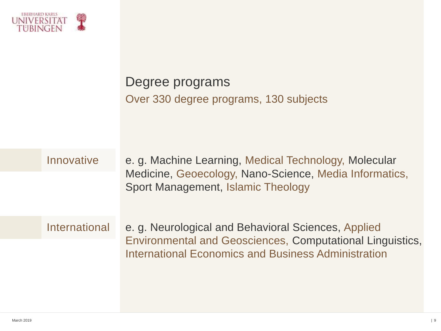

| Degree programs                        |  |
|----------------------------------------|--|
| Over 330 degree programs, 130 subjects |  |

Innovative e. g. Machine Learning, Medical Technology, Molecular Medicine, Geoecology, Nano-Science, Media Informatics, Sport Management, Islamic Theology

International e. g. Neurological and Behavioral Sciences, Applied Environmental and Geosciences, Computational Linguistics, International Economics and Business Administration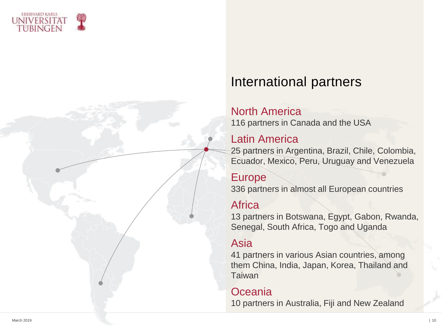



## International partners

#### North America

116 partners in Canada and the USA

#### Latin America

25 partners in Argentina, Brazil, Chile, Colombia, Ecuador, Mexico, Peru, Uruguay and Venezuela

Europe 336 partners in almost all European countries

#### **Africa**

13 partners in Botswana, Egypt, Gabon, Rwanda, Senegal, South Africa, Togo and Uganda

### Asia

41 partners in various Asian countries, among them China, India, Japan, Korea, Thailand and **Taiwan** 

### **Oceania**

10 partners in Australia, Fiji and New Zealand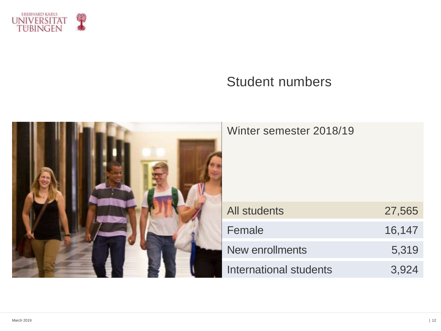

## Student numbers

| Winter semester 2018/19       |        |
|-------------------------------|--------|
| <b>All students</b>           | 27,565 |
| Female                        | 16,147 |
| New enrollments               | 5,319  |
| <b>International students</b> | 3,924  |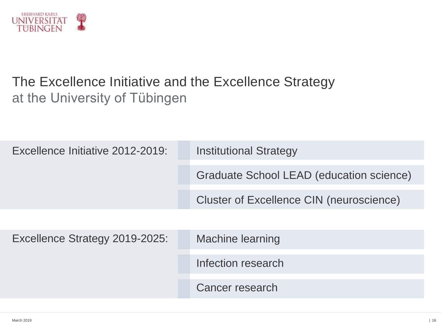

## The Excellence Initiative and the Excellence Strategy at the University of Tübingen

| Excellence Initiative 2012-2019: | <b>Institutional Strategy</b>            |
|----------------------------------|------------------------------------------|
|                                  | Graduate School LEAD (education science) |
|                                  | Cluster of Excellence CIN (neuroscience) |
|                                  |                                          |
| Excellence Strategy 2019-2025:   | <b>Machine learning</b>                  |
|                                  | Infection research                       |
|                                  | Cancer research                          |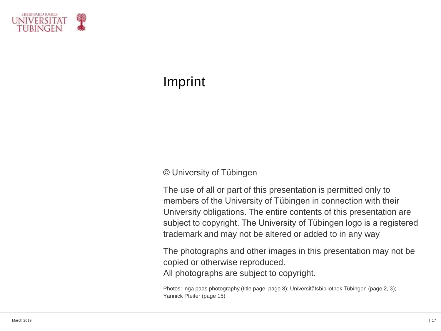

## Imprint

#### © University of Tübingen

The use of all or part of this presentation is permitted only to members of the University of Tübingen in connection with their University obligations. The entire contents of this presentation are subject to copyright. The University of Tübingen logo is a registered trademark and may not be altered or added to in any way

The photographs and other images in this presentation may not be copied or otherwise reproduced. All photographs are subject to copyright.

Photos: inga paas photography (title page, page 8); Universitätsbibliothek Tübingen (page 2, 3); Yannick Pfeifer (page 15)